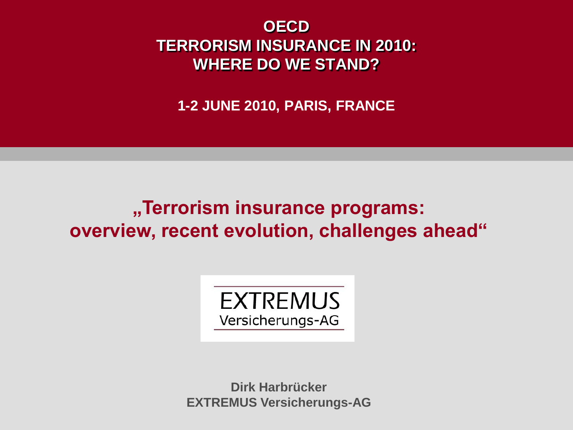**OECD TERRORISM INSURANCE IN 2010: WHERE DO WE STAND?**

**1-2 JUNE 2010, PARIS, FRANCE** 

# **"Terrorism insurance programs: overview, recent evolution, challenges ahead"**



**Dirk Harbrücker EXTREMUS Versicherungs-AG**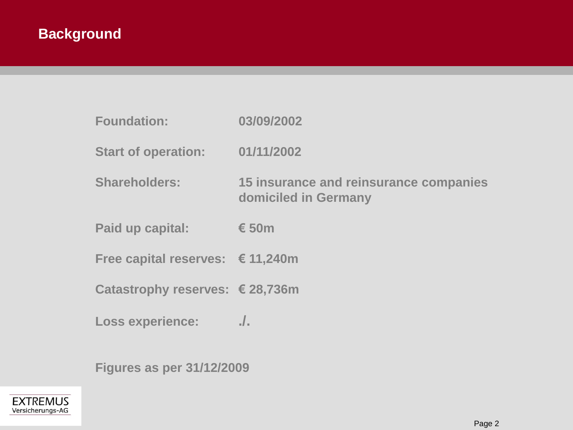| <b>Foundation:</b>                        | 03/09/2002                                                     |
|-------------------------------------------|----------------------------------------------------------------|
| <b>Start of operation:</b>                | 01/11/2002                                                     |
| <b>Shareholders:</b>                      | 15 insurance and reinsurance companies<br>domiciled in Germany |
| Paid up capital:                          | € 50 $m$                                                       |
| Free capital reserves: $\epsilon$ 11,240m |                                                                |
| Catastrophy reserves: € 28,736m           |                                                                |
| <b>Loss experience:</b>                   | $\frac{1}{2}$                                                  |

**Figures as per 31/12/2009** 

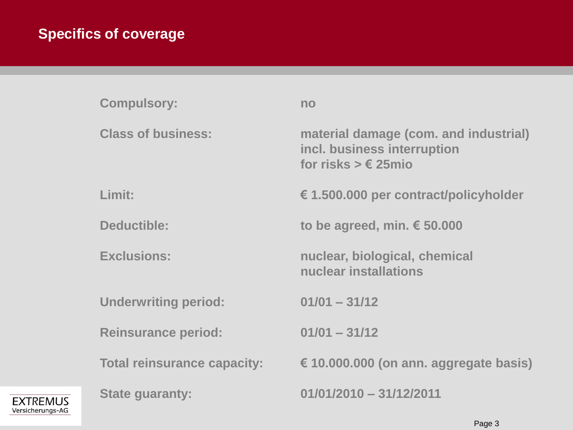## **Specifics of coverage**

**EXTREMUS** Versicherungs-AG

| <b>Compulsory:</b>                 | no                                                                                                   |
|------------------------------------|------------------------------------------------------------------------------------------------------|
| <b>Class of business:</b>          | material damage (com. and industrial)<br>incl. business interruption<br>for risks $> \epsilon$ 25mio |
| Limit:                             | € 1.500.000 per contract/policyholder                                                                |
| Deductible:                        | to be agreed, min. $\epsilon$ 50.000                                                                 |
| <b>Exclusions:</b>                 | nuclear, biological, chemical<br>nuclear installations                                               |
| <b>Underwriting period:</b>        | $01/01 - 31/12$                                                                                      |
| <b>Reinsurance period:</b>         | $01/01 - 31/12$                                                                                      |
| <b>Total reinsurance capacity:</b> | $\epsilon$ 10.000.000 (on ann. aggregate basis)                                                      |
| <b>State guaranty:</b>             | $01/01/2010 - 31/12/2011$                                                                            |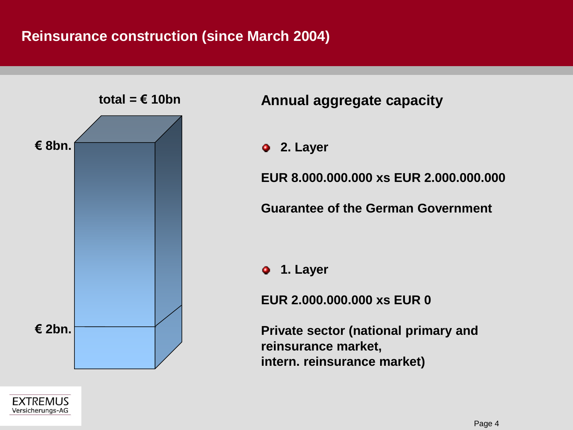#### **Reinsurance construction (since March 2004)**



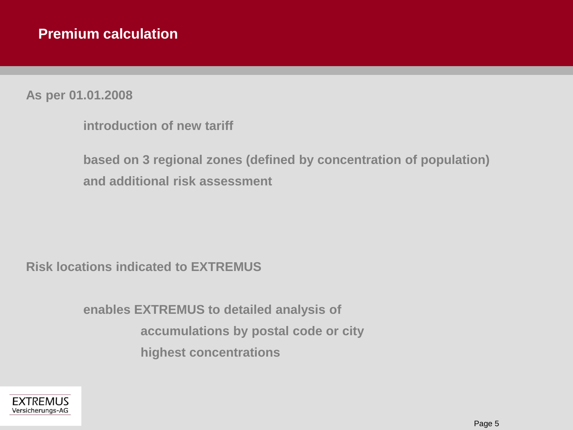**As per 01.01.2008** 

**based on 3 regional zones (defined by concentration of population) and additional risk assessment** 

**Risk locations indicated to EXTREMUS** 

**enables EXTREMUS to detailed analysis of accumulations by postal code or city highest concentrations** 

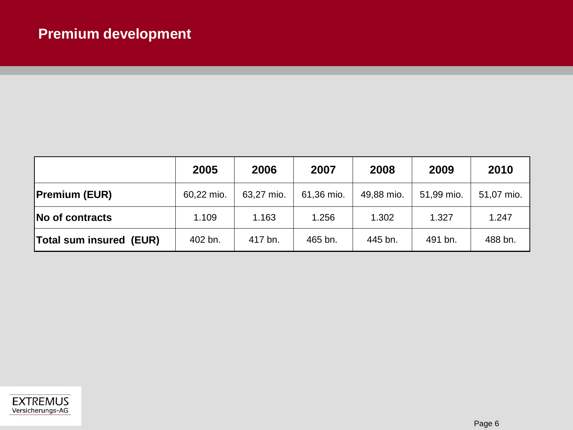|                         | 2005       | 2006       | 2007       | 2008       | 2009       | 2010       |
|-------------------------|------------|------------|------------|------------|------------|------------|
| <b>Premium (EUR)</b>    | 60,22 mio. | 63,27 mio. | 61,36 mio. | 49,88 mio. | 51,99 mio. | 51,07 mio. |
| No of contracts         | 1.109      | 1.163      | 1.256      | 1.302      | 1.327      | 1.247      |
| Total sum insured (EUR) | 402 bn.    | 417 bn.    | 465 bn.    | 445 bn.    | 491 bn.    | 488 bn.    |

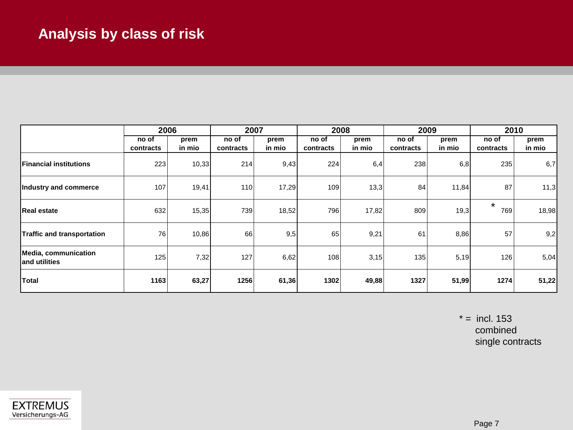### **Analysis by class of risk**

|                                        | 2006               |                | 2007               |                | 2008               |                | 2009               |                | 2010               |                |
|----------------------------------------|--------------------|----------------|--------------------|----------------|--------------------|----------------|--------------------|----------------|--------------------|----------------|
|                                        | no of<br>contracts | prem<br>in mio | no of<br>contracts | prem<br>in mio | no of<br>contracts | prem<br>in mio | no of<br>contracts | prem<br>in mio | no of<br>contracts | prem<br>in mio |
| <b>IFinancial institutions</b>         | 223                | 10,33          | 214                | 9,43           | 224                | 6,4            | 238                | 6,8            | 235                | 6,7            |
| Industry and commerce                  | 107                | 19,41          | 110                | 17,29          | 109                | 13,3           | 84                 | 11,84          | 87                 | 11,3           |
| <b>Real estate</b>                     | 632                | 15,35          | 739                | 18,52          | 796                | 17,82          | 809                | 19,3           | $\star$<br>769     | 18,98          |
| <b>Traffic and transportation</b>      | 76                 | 10,86          | 66                 | 9,5            | 65                 | 9,21           | 61                 | 8,86           | 57                 | 9,2            |
| Media, communication<br>land utilities | 125                | 7,32           | 127                | 6,62           | 108                | 3,15           | 135                | 5,19           | 126                | 5,04           |
| <b>Total</b>                           | 1163               | 63,27          | 1256               | 61,36          | 1302               | 49,88          | 1327               | 51,99          | 1274               | 51,22          |

 $* =$  incl. 153 combined single contracts

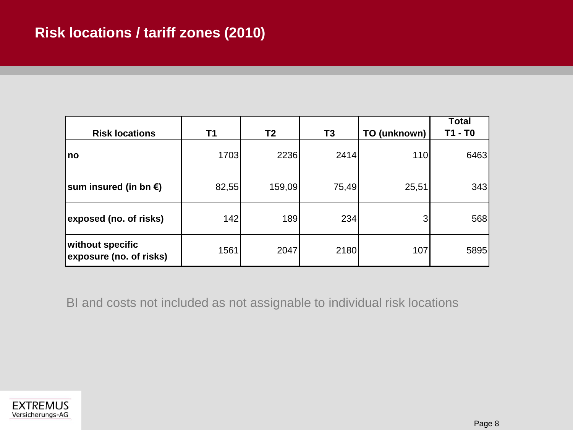| <b>Risk locations</b>                       | T1    | T <sub>2</sub> | T <sub>3</sub> | TO (unknown) | <b>Total</b><br>T1 - T0 |
|---------------------------------------------|-------|----------------|----------------|--------------|-------------------------|
| no                                          | 1703  | 2236           | 2414           | 110          | 6463                    |
| sum insured (in bn €)                       | 82,55 | 159,09         | 75,49          | 25,51        | 343                     |
| exposed (no. of risks)                      | 142   | 189            | 234            | 3            | 568                     |
| without specific<br>exposure (no. of risks) | 1561  | 2047           | 2180           | 107          | 5895                    |

BI and costs not included as not assignable to individual risk locations